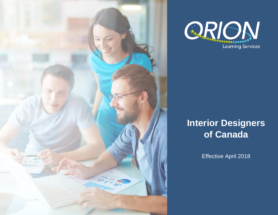



# **Interior Designers of Canada**

Effective April 2018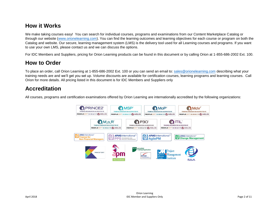#### **How it Works**

We make taking courses easy! You can search for individual courses, programs and examinations from our Content Marketplace Catalog or through our website [\(www.orionelearning.com\)](http://www.orionelearning.com/). You can find the learning outcomes and learning objectives for each course or program on both the Catalog and website. Our secure, learning management system (LMS) is the delivery tool used for all Learning courses and programs. If you want to use your own LMS, please contact us and we can discuss the options.

For IDC Members and Suppliers, pricing for Orion Learning products can be found in this document or by calling Orion at 1-855-686-2002 Ext. 100.

#### **How to Order**

To place an order, call Orion Learning at 1-855-686-2002 Ext. 100 or you can send an email to: [sales@orionelearning.com](mailto:sales@orionelearning.com) describing what your training needs are and we'll get you set up. Volume discounts are available for certification courses, learning programs and learning courses. Call Orion for more details. All pricing listed in this document is for IDC Members and Suppliers only

#### **Accreditation**

All courses, programs and certification examinations offered by Orion Learning are internationally accredited by the following organizations:

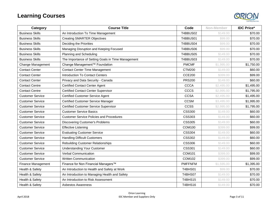

| Category                | <b>Course Title</b>                                | Code           | Non-Member | <b>IDC Price*</b> |
|-------------------------|----------------------------------------------------|----------------|------------|-------------------|
| <b>Business Skills</b>  | An Introduction To Time Management                 | T4BBUS02       | \$149.00   | \$70.00           |
| <b>Business Skills</b>  | <b>Creating SMARTER Objectives</b>                 | T4BBUS01       | \$99.00    | \$70.00           |
| <b>Business Skills</b>  | Deciding the Priorities                            | T4BBUS04       | \$99.00    | \$70.00           |
| <b>Business Skills</b>  | Managing Disruption and Keeping Focused            | T4BBUS06       | \$99.00    | \$70.00           |
| <b>Business Skills</b>  | Planning and Scheduling                            | T4BBUS05       | \$149.00   | \$70.00           |
| <b>Business Skills</b>  | The Importance of Setting Goals in Time Management | T4BBUS03       | \$149.00   | \$70.00           |
| Change Management       | Change Management™ Foundation                      | <b>PMCMF</b>   | \$1,995.00 | \$1,750.00        |
| <b>Contact Center</b>   | <b>Contact Center Time Management</b>              | <b>CTM200</b>  | \$149.00   | \$60.00           |
| <b>Contact Center</b>   | <b>Introduction To Contact Centers</b>             | <b>CCE200</b>  | \$399.00   | \$99.00           |
| <b>Contact Center</b>   | Privacy and Data Security - Canada                 | <b>PRS200</b>  | \$149.00   | \$60.00           |
| <b>Contact Centre</b>   | <b>Certified Contact Center Agent</b>              | <b>CCCA</b>    | \$2,495.00 | \$1,495.00        |
| <b>Contact Centre</b>   | <b>Certified Contact Center Supervisor</b>         | <b>CCCS</b>    | \$2,995.00 | \$1,795.00        |
| <b>Customer Service</b> | <b>Certified Customer Service Agent</b>            | <b>CCSA</b>    | \$2,495.00 | \$1,495.00        |
| <b>Customer Service</b> | <b>Certified Customer Service Manager</b>          | <b>CCSM</b>    | \$3,495.00 | \$1,995.00        |
| <b>Customer Service</b> | <b>Certified Customer Service Supervisor</b>       | <b>CCSS</b>    | \$2,995.00 | \$1,795.00        |
| <b>Customer Service</b> | <b>Customer Service Basics</b>                     | <b>CSS300</b>  | \$149.00   | \$60.00           |
| <b>Customer Service</b> | <b>Customer Service Policies and Procedures</b>    | <b>CSS303</b>  | \$149.00   | \$60.00           |
| <b>Customer Service</b> | <b>Discovering Customer's Problems</b>             | <b>CSS305</b>  | \$149.00   | \$60.00           |
| <b>Customer Service</b> | <b>Effective Listening</b>                         | COM100         | \$399.00   | \$99.00           |
| <b>Customer Service</b> | <b>Evaluating Customer Service</b>                 | <b>CSS304</b>  | \$149.00   | \$60.00           |
| <b>Customer Service</b> | <b>Handling Difficult Customers</b>                | <b>CSS302</b>  | \$149.00   | \$60.00           |
| <b>Customer Service</b> | <b>Rebuilding Customer Relationships</b>           | <b>CSS306</b>  | \$149.00   | \$60.00           |
| <b>Customer Service</b> | <b>Understanding Your Customer</b>                 | <b>CSS301</b>  | \$149.00   | \$60.00           |
| <b>Customer Service</b> | <b>Verbal Communication</b>                        | COM101         | \$399.00   | \$99.00           |
| <b>Customer Service</b> | <b>Written Communication</b>                       | COM102         | \$399.00   | \$99.00           |
| Finance Management      | Finance for Non Financial Managers™                | <b>PMFFNFM</b> | \$1,595.00 | \$1,395.00        |
| Health & Safety         | An Introduction to Health and Safety at Work       | T4BHS01        | \$99.00    | \$70.00           |
| Health & Safety         | An Introduction to Managing Health and Safety      | T4BHS07        | \$149.00   | \$70.00           |
| Health & Safety         | An Introduction to Risk Assessment                 | <b>T4BHS15</b> | \$149.00   | \$70.00           |
| Health & Safety         | Asbestos Awareness                                 | T4BHS16        | \$149.00   | \$70.00           |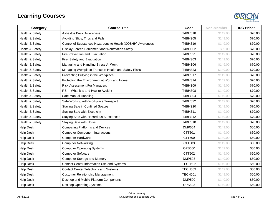

| Category         | <b>Course Title</b>                                         | Code           | Non-Member | <b>IDC Price*</b> |
|------------------|-------------------------------------------------------------|----------------|------------|-------------------|
| Health & Safety  | <b>Asbestos Basic Awareness</b>                             | <b>T4BHS18</b> | \$149.00   | \$70.00           |
| Health & Safety  | Avoiding Slips, Trips and Falls                             | T4BHS05        | \$149.00   | \$70.00           |
| Health & Safety  | Control of Substances Hazardous to Health (COSHH) Awareness | T4BHS19        | \$149.00   | \$70.00           |
| Health & Safety  | Display Screen Equipment and Workstation Safety             | T4BHS02        | \$99.00    | \$70.00           |
| Health & Safety  | Fire Prevention and Evacuation                              | <b>T4BHS21</b> | \$149.00   | \$70.00           |
| Health & Safety  | Fire, Safety and Evacuation                                 | <b>T4BHS03</b> | \$149.00   | \$70.00           |
| Health & Safety  | Managing and Handling Stress At Work                        | <b>T4BHS06</b> | \$149.00   | \$70.00           |
| Health & Safety  | Managing Workplace Transport Health and Safety Risks        | <b>T4BHS23</b> | \$149.00   | \$70.00           |
| Health & Safety  | Preventing Bullying in the Workplace                        | <b>T4BHS17</b> | \$149.00   | \$70.00           |
| Health & Safety  | Protecting the Environment at Work and Home                 | T4BHS14        | \$149.00   | \$70.00           |
| Health & Safety  | <b>Risk Assessment For Managers</b>                         | T4BHS09        | \$149.00   | \$70.00           |
| Health & Safety  | RSI-What it is and How to Avoid it                          | <b>T4BHS08</b> | \$149.00   | \$70.00           |
| Health & Safety  | Safe Manual Handling                                        | T4BHS04        | \$149.00   | \$70.00           |
| Health & Safety  | Safe Working with Workplace Transport                       | <b>T4BHS22</b> | \$149.00   | \$70.00           |
| Health & Safety  | <b>Staying Safe in Confined Spaces</b>                      | <b>T4BHS20</b> | \$149.00   | \$70.00           |
| Health & Safety  | <b>Staying Safe with Electricity</b>                        | <b>T4BHS11</b> | \$149.00   | \$70.00           |
| Health & Safety  | Staying Safe with Hazardous Substances                      | <b>T4BHS12</b> | \$149.00   | \$70.00           |
| Health & Safety  | <b>Staying Safe with Noise</b>                              | <b>T4BHS10</b> | \$149.00   | \$70.00           |
| <b>Help Desk</b> | <b>Comparing Platforms and Devices</b>                      | <b>DMP504</b>  | \$149.00   | \$60.00           |
| <b>Help Desk</b> | <b>Computer Component Interactions</b>                      | CTT501         | \$149.00   | \$60.00           |
| <b>Help Desk</b> | <b>Computer Hardware</b>                                    | CTT500         | \$149.00   | \$60.00           |
| <b>Help Desk</b> | <b>Computer Networking</b>                                  | CTT503         | \$149.00   | \$60.00           |
| <b>Help Desk</b> | <b>Computer Operating Systems</b>                           | <b>OPS500</b>  | \$149.00   | \$60.00           |
| <b>Help Desk</b> | <b>Computer Software</b>                                    | CTT502         | \$149.00   | \$60.00           |
| <b>Help Desk</b> | <b>Computer Storage and Memory</b>                          | <b>DMP503</b>  | \$149.00   | \$60.00           |
| <b>Help Desk</b> | Contact Center Information Use and Systems                  | <b>TECH502</b> | \$149.00   | \$60.00           |
| <b>Help Desk</b> | Contact Center Telephony and Systems                        | <b>TECH503</b> | \$149.00   | \$60.00           |
| <b>Help Desk</b> | <b>Customer Relationship Management</b>                     | <b>TECH501</b> | \$149.00   | \$60.00           |
| <b>Help Desk</b> | Desktop and Mobile Platform Components                      | <b>DMP500</b>  | \$149.00   | \$60.00           |
| <b>Help Desk</b> | <b>Desktop Operating Systems</b>                            | <b>OPS502</b>  | \$149.00   | \$60.00           |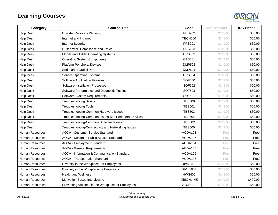

| Category               | <b>Course Title</b>                                   | Code             | Non-Member | <b>IDC Price*</b> |
|------------------------|-------------------------------------------------------|------------------|------------|-------------------|
| <b>Help Desk</b>       | <b>Disaster Recovery Planning</b>                     | <b>PRS202</b>    | \$149.00   | \$60.00           |
| <b>Help Desk</b>       | Internet and Intranet                                 | <b>TECH500</b>   | \$149.00   | \$60.00           |
| <b>Help Desk</b>       | <b>Internet Security</b>                              | <b>PRS201</b>    | \$149.00   | \$60.00           |
| <b>Help Desk</b>       | IT Behavior, Compliance and Ethics                    | <b>PRS203</b>    | \$149.00   | \$60.00           |
| <b>Help Desk</b>       | Mobile and Tablet Operating Systems                   | <b>OPS503</b>    | \$149.00   | \$60.00           |
| <b>Help Desk</b>       | <b>Operating System Components</b>                    | <b>OPS501</b>    | \$149.00   | \$60.00           |
| <b>Help Desk</b>       | <b>Platform Peripheral Devices</b>                    | <b>DMP502</b>    | \$149.00   | \$60.00           |
| <b>Help Desk</b>       | Serial and Parallel Ports                             | <b>DMP501</b>    | \$149.00   | \$60.00           |
| <b>Help Desk</b>       | <b>Service Operating Systems</b>                      | <b>OPS504</b>    | \$149.00   | \$60.00           |
| <b>Help Desk</b>       | <b>Software Application Features</b>                  | <b>SOF500</b>    | \$149.00   | \$60.00           |
| <b>Help Desk</b>       | <b>Software Installation Processes</b>                | <b>SOF502</b>    | \$149.00   | \$60.00           |
| <b>Help Desk</b>       | Software Performance and Diagnostic Testing           | SOF503           | \$149.00   | \$60.00           |
| <b>Help Desk</b>       | Software System Requirements                          | <b>SOF501</b>    | \$149.00   | \$60.00           |
| <b>Help Desk</b>       | <b>Troubleshooting Basics</b>                         | <b>TBS500</b>    | \$149.00   | \$60.00           |
| <b>Help Desk</b>       | <b>Troubleshooting Tools</b>                          | <b>TBS501</b>    | \$149.00   | \$60.00           |
| <b>Help Desk</b>       | Troubleshooting-Common Hardware Issues                | <b>TBS503</b>    | \$149.00   | \$60.00           |
| <b>Help Desk</b>       | Troubleshooting-Common Issues with Peripheral Devices | <b>TBS504</b>    | \$149.00   | \$60.00           |
| <b>Help Desk</b>       | Troubleshooting-Common Software Issues                | <b>TBS502</b>    | \$149.00   | \$60.00           |
| <b>Help Desk</b>       | Troubleshooting-Connectivity and Networking Issues    | <b>TBS505</b>    | \$149.00   | \$60.00           |
| <b>Human Resources</b> | <b>AODA - Customer Service Standard</b>               | AODA103          | Free       | Free              |
| <b>Human Resources</b> | AODA - Design of Public Spaces Standard               | AODA107          | Free       | Free              |
| <b>Human Resources</b> | <b>AODA - Employment Standard</b>                     | AODA104          | Free       | Free              |
| <b>Human Resources</b> | <b>AODA - General Requirements</b>                    | AODA105          | Free       | Free              |
| Human Resources        | AODA - Information & Communication Standard           | AODA106          | Free       | Free              |
| Human Resources        | <b>AODA - Transportation Standard</b>                 | AODA108          | Free       | Free              |
| <b>Human Resources</b> | Diversity in the Workplace For Employees              | DIV404EE         | \$149.00   | \$60.00           |
| Human Resources        | Diversity in the Workplace for Employers              | DIV404ER         | \$149.00   | \$60.00           |
| Human Resources        | <b>Health and Wellness</b>                            | <b>HWS405</b>    | \$149.00   | \$60.00           |
| <b>Human Resources</b> | Motivation Based Interviewing                         | <b>MBIONLINE</b> | \$499.00   | \$499.00          |
| <b>Human Resources</b> | Preventing Violence in the Workplace for Employees    | <b>VIO402EE</b>  | \$149.00   | \$60.00           |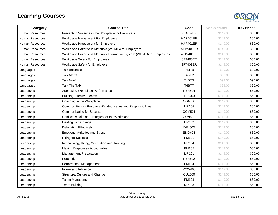

| Category               | <b>Course Title</b>                                                    | Code            | Non-Member | <b>IDC Price*</b> |
|------------------------|------------------------------------------------------------------------|-----------------|------------|-------------------|
| <b>Human Resources</b> | Preventing Violence in the Workplace for Employers                     | <b>VIO402ER</b> | \$149.00   | \$60.00           |
| <b>Human Resources</b> | Workplace Harassment For Employees                                     | HAR401EE        | \$149.00   | \$60.00           |
| <b>Human Resources</b> | Workplace Harassment for Employers                                     | HAR401ER        | \$149.00   | \$60.00           |
| <b>Human Resources</b> | Workplace Hazardous Materials (WHMIS) for Employers                    | WHM400ER        | \$149.00   | \$60.00           |
| <b>Human Resources</b> | Workplace Hazardous Materials Information System (WHMIS) for Employees | WHM400EE        | \$149.00   | \$60.00           |
| <b>Human Resources</b> | <b>Workplace Safety For Employees</b>                                  | SFT403EE        | \$149.00   | \$60.00           |
| <b>Human Resources</b> | Workplace Safety for Employers                                         | SFT403ER        | \$149.00   | \$60.00           |
| Languages              | <b>Talk Business!</b>                                                  | T4BTB           | \$99.00    | \$90.00           |
| Languages              | <b>Talk More!</b>                                                      | T4BTM           | \$99.00    | \$90.00           |
| Languages              | <b>Talk Now!</b>                                                       | T4BTN           | \$99.00    | \$90.00           |
| Languages              | Talk The Talk!                                                         | T4BTT           | \$99.00    | \$90.00           |
| Leadership             | Appraising Workplace Performance                                       | <b>PER504</b>   | \$149.00   | \$60.00           |
| Leadership             | <b>Building Effective Teams</b>                                        | <b>TEA400</b>   | \$149.00   | \$60.00           |
| Leadership             | Coaching in the Workplace                                              | <b>COA500</b>   | \$149.00   | \$60.00           |
| Leadership             | Common Human Resource-Related Issues and Responsibilities              | MP105           | \$149.00   | \$60.00           |
| Leadership             | <b>Communicating for Success</b>                                       | <b>COM501</b>   | \$149.00   | \$60.00           |
| Leadership             | Conflict Resolution Strategies for the Workplace                       | <b>CON502</b>   | \$149.00   | \$60.00           |
| Leadership             | Dealing with Change                                                    | MP102           | \$149.00   | \$60.00           |
| Leadership             | <b>Delegating Effectively</b>                                          | <b>DEL503</b>   | \$149.00   | \$60.00           |
| Leadership             | Emotions, Attitudes and Stress                                         | <b>EMO601</b>   | \$149.00   | \$60.00           |
| Leadership             | <b>Hiring for Success</b>                                              | PM101           | \$149.00   | \$60.00           |
| Leadership             | Interviewing, Hiring, Orientation and Training                         | MP104           | \$149.00   | \$60.00           |
| Leadership             | Making Employees Accountable                                           | PM105           | \$149.00   | \$60.00           |
| Leadership             | <b>Management Preparation</b>                                          | MP101           | \$149.00   | \$60.00           |
| Leadership             | Perception                                                             | <b>PER602</b>   | \$149.00   | \$60.00           |
| Leadership             | Performance Management                                                 | PM104           | \$149.00   | \$60.00           |
| Leadership             | Power and Influence                                                    | <b>POW603</b>   | \$149.00   | \$60.00           |
| Leadership             | Structure, Culture and Change                                          | <b>CUL600</b>   | \$149.00   | \$60.00           |
| Leadership             | <b>Talent Management</b>                                               | PM103           | \$149.00   | \$60.00           |
| Leadership             | <b>Team Building</b>                                                   | MP103           | \$149.00   | \$60.00           |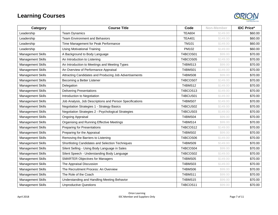

| Category                 | <b>Course Title</b>                                      | Code           | Non-Member | <b>IDC Price*</b> |
|--------------------------|----------------------------------------------------------|----------------|------------|-------------------|
| Leadership               | <b>Team Dynamics</b>                                     | <b>TEA604</b>  | \$149.00   | \$60.00           |
| Leadership               | <b>Team Environment and Behaviors</b>                    | <b>TEA401</b>  | \$149.00   | \$60.00           |
| Leadership               | Time Management for Peak Performance                     | <b>TM101</b>   | \$149.00   | \$60.00           |
| Leadership               | <b>Using Motivational Training</b>                       | PM102          | \$149.00   | \$60.00           |
| <b>Management Skills</b> | A Background to Body Language                            | T4BCOS01       | \$99.00    | \$70.00           |
| <b>Management Skills</b> | An Introduction to Listening                             | T4BCOS05       | \$149.00   | \$70.00           |
| <b>Management Skills</b> | An Introduction to Meetings and Meeting Types            | <b>T4BMS13</b> | \$99.00    | \$70.00           |
| <b>Management Skills</b> | An Overview of Performance Appraisal                     | T4BMS01        | \$149.00   | \$70.00           |
| <b>Management Skills</b> | Attracting Candidates and Producing Job Advertisements   | T4BMS08        | \$99.00    | \$70.00           |
| <b>Management Skills</b> | Becoming a Better Listener                               | T4BCOS07       | \$149.00   | \$70.00           |
| <b>Management Skills</b> | Delegation                                               | <b>T4BMS12</b> | \$149.00   | \$70.00           |
| <b>Management Skills</b> | <b>Delivering Presentations</b>                          | T4BCOS13       | \$149.00   | \$70.00           |
| <b>Management Skills</b> | Introduction to Negotiation                              | T4BCUS01       | \$149.00   | \$70.00           |
| <b>Management Skills</b> | Job Analysis, Job Descriptions and Person Specifications | T4BMS07        | \$149.00   | \$70.00           |
| <b>Management Skills</b> | <b>Negotiation Strategies 1 - Strategy Basics</b>        | T4BCUS02       | \$149.00   | \$70.00           |
| <b>Management Skills</b> | Negotiation Strategies 2 - Psychological Strategies      | T4BCUS03       | \$149.00   | \$70.00           |
| <b>Management Skills</b> | <b>Ongoing Appraisal</b>                                 | T4BMS04        | \$99.00    | \$70.00           |
| <b>Management Skills</b> | Organising and Running Effective Meetings                | <b>T4BMS14</b> | \$99.00    | \$70.00           |
| <b>Management Skills</b> | <b>Preparing for Presentations</b>                       | T4BCOS12       | \$149.00   | \$70.00           |
| <b>Management Skills</b> | Preparing for the Appraisal                              | T4BMS02        | \$99.00    | \$70.00           |
| <b>Management Skills</b> | Removing the Barriers to Listening                       | T4BCOS06       | \$149.00   | \$70.00           |
| <b>Management Skills</b> | Shortlisting Candidates and Selection Techniques         | T4BMS09        | \$149.00   | \$70.00           |
| <b>Management Skills</b> | Silent Selling - Using Body Language in Sales            | T4BCOS04       | \$99.00    | \$70.00           |
| <b>Management Skills</b> | Silent Speech - Understanding Body Language              | T4BCOS02       | \$149.00   | \$70.00           |
| <b>Management Skills</b> | <b>SMARTER Objectives for Managers</b>                   | T4BMS05        | \$149.00   | \$70.00           |
| <b>Management Skills</b> | The Appraisal Discussion                                 | <b>T4BMS03</b> | \$149.00   | \$70.00           |
| <b>Management Skills</b> | The Recruitment Process: An Overview                     | <b>T4BMS06</b> | \$99.00    | \$70.00           |
| <b>Management Skills</b> | The Role of the Coach                                    | <b>T4BMS11</b> | \$99.00    | \$70.00           |
| <b>Management Skills</b> | Understanding and Handling Meeting Behavior              | <b>T4BMS15</b> | \$99.00    | \$70.00           |
| <b>Management Skills</b> | <b>Unproductive Questions</b>                            | T4BCOS11       | \$99.00    | \$70.00           |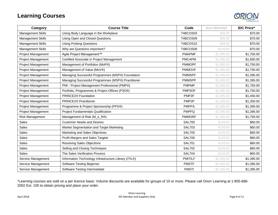

| Category                  | <b>Course Title</b>                                   | Code              | Non-Member | <b>IDC Price*</b> |
|---------------------------|-------------------------------------------------------|-------------------|------------|-------------------|
| Management Skills         | Using Body Language in the Workplace                  | T4BCOS03          | \$99.00    | \$70.00           |
| Management Skills         | <b>Using Open and Closed Questions</b>                | T4BCOS09          | \$99.00    | \$70.00           |
| <b>Management Skills</b>  | <b>Using Probing Questions</b>                        | T4BCOS10          | \$99.00    | \$70.00           |
| Management Skills         | Why are Questions Important?                          | T4BCOS08          | \$149.00   | \$70.00           |
| <b>Project Management</b> | Agile Project Management™                             | <b>PMAPMF</b>     | \$1,995.00 | \$1,750.00        |
| Project Management        | Certified Associate in Project Management             | <b>PMCAPM</b>     | \$1,695.00 | \$1,600.00        |
| Project Management        | Management of Portfolios (MoP®)                       | <b>PMMOPF</b>     | \$1,995.00 | \$1,750.00        |
| <b>Project Management</b> | Management of Value (MoV®)                            | <b>PMMOVF</b>     | \$1,995.00 | \$1,750.00        |
| Project Management        | Managing Successful Programmes (MSP®) Foundation      | <b>PMMSPF</b>     | \$1,595.00 | \$1,395.00        |
| <b>Project Management</b> | Managing Successful Programmes (MSP®) Practitioner    | <b>PMMSPP</b>     | \$1,695.00 | \$1,395.00        |
| <b>Project Management</b> | PMI - Project Management Professional (PMP®)          | <b>PMPMP</b>      | \$1,995.00 | \$1,750.00        |
| Project Management        | Portfolio, Programmes & Project Offices (P3O®)        | PMP3OF            | \$1,995.00 | \$1,750.00        |
| Project Management        | PRINCE2® Foundation                                   | PMP <sub>2F</sub> | \$1,695.00 | \$1,450.00        |
| <b>Project Management</b> | <b>PRINCE2® Practitioner</b>                          | PMP <sub>2P</sub> | \$1,495.00 | \$1,350.00        |
| <b>Project Management</b> | Programme & Project Sponsorship (PPS®)                | <b>PMPPS</b>      | \$1,595.00 | \$1,395.00        |
| Project Management        | <b>Project Fundamentals Qualification</b>             | <b>PMPFQ</b>      | \$1,595.00 | \$1,395.00        |
| <b>Risk Management</b>    | Management of Risk (M_o_R®)                           | <b>PMMORF</b>     | \$1,995.00 | \$1,750.00        |
| <b>Sales</b>              | <b>Customer Needs and Desires</b>                     | <b>SAL700</b>     | \$149.00   | \$60.00           |
| Sales                     | Market Segmentation and Target Marketing              | <b>SAL703</b>     | \$149.00   | \$60.00           |
| <b>Sales</b>              | Marketing and Sales Objectives                        | <b>SAL705</b>     | \$149.00   | \$60.00           |
| Sales                     | Profit Margins and Sales Targets                      | <b>SAL706</b>     | \$149.00   | \$60.00           |
| Sales                     | <b>Resolving Sales Objections</b>                     | <b>SAL701</b>     | \$149.00   | \$60.00           |
| Sales                     | Selling and Closing Techniques                        | <b>SAL702</b>     | \$149.00   | \$60.00           |
| <b>Sales</b>              | The Sales Verification Process                        | <b>SAL704</b>     | \$149.00   | \$60.00           |
| Service Management        | Information Technology Infrastructure Library (ITIL®) | <b>PMITILF</b>    | \$1,595.00 | \$1,395.00        |
| Service Management        | <b>Software Testing Beginner</b>                      | <b>PMSTF</b>      | \$1,595.00 | \$1,395.00        |
| Service Management        | Software Testing Intermediate                         | <b>PMSTI</b>      | \$1,595.00 | \$1,395.00        |

\*Learning courses are sold on a per licence basis. Volume discounts are available for groups of 10 or more. Please call Orion Learning at 1-855-686- 2002 Ext. 100 to obtain pricing and place your order.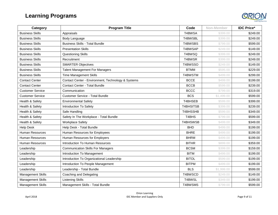## **Learning Programs**



| Category                 | <b>Program Title</b>                               | Code             | Non-Member | <b>IDC Price*</b> |
|--------------------------|----------------------------------------------------|------------------|------------|-------------------|
| <b>Business Skills</b>   | Appraisals                                         | T4BWSA           | \$399.00   | \$249.00          |
| <b>Business Skills</b>   | Body Language                                      | T4BWSBL          | \$399.00   | \$249.00          |
| <b>Business Skills</b>   | <b>Business Skills - Total Bundle</b>              | T4BWSBS          | \$799.00   | \$599.00          |
| <b>Business Skills</b>   | <b>Presentation Skills</b>                         | T4BWSAP          | \$249.00   | \$149.00          |
| <b>Business Skills</b>   | Questioning Skills                                 | T4BWSQ           | \$399.00   | \$249.00          |
| <b>Business Skills</b>   | Recruitment                                        | T4BWSR           | \$399.00   | \$249.00          |
| <b>Business Skills</b>   | <b>SMARTER Objectives</b>                          | T4BWSSO          | \$249.00   | \$149.00          |
| <b>Business Skills</b>   | <b>Talent Management For Managers</b>              | <b>BTMM</b>      | \$595.00   | \$229.00          |
| <b>Business Skills</b>   | <b>Time Management Skills</b>                      | T4BWSTM          | \$499.00   | \$299.00          |
| <b>Contact Center</b>    | Contact Center - Environment, Technology & Systems | <b>BCCE</b>      | \$499.00   | \$199.00          |
| <b>Contact Center</b>    | <b>Contact Center - Total Bundle</b>               | <b>BCCB</b>      | \$599.00   | \$239.00          |
| <b>Customer Service</b>  | Communication                                      | <b>BCCC</b>      | \$799.00   | \$319.00          |
| <b>Customer Service</b>  | <b>Customer Service - Total Bundle</b>             | <b>BCS</b>       | \$1,499.00 | \$599.00          |
| Health & Safety          | <b>Environmental Safety</b>                        | T4BHSEB          | \$599.00   | \$399.00          |
| Health & Safety          | Introduction To Safety                             | <b>T4BHSITSB</b> | \$399.00   | \$239.00          |
| Health & Safety          | Safe Handling                                      | T4BHSSHB         | \$599.00   | \$349.00          |
| Health & Safety          | Safety In The Workplace - Total Bundle             | T4BHS            | \$799.00   | \$599.00          |
| Health & Safety          | <b>Workplace Safety</b>                            | T4BHSWSB         | \$499.00   | \$349.00          |
| <b>Help Desk</b>         | Help Desk - Total Bundle                           | <b>BHD</b>       | \$499.00   | \$199.00          |
| <b>Human Resources</b>   | Human Resources for Employees                      | <b>BHRE</b>      | \$499.00   | \$199.00          |
| <b>Human Resources</b>   | Human Resources for Employers                      | <b>BHRM</b>      | \$499.00   | \$199.00          |
| <b>Human Resources</b>   | <b>Introduction To Human Resources</b>             | <b>BITHR</b>     | \$899.00   | \$359.00          |
| Leadership               | <b>Communication Skills For Managers</b>           | <b>BCSM</b>      | \$399.00   | \$159.00          |
| Leadership               | Introduction To Management                         | <b>BITM</b>      | \$499.00   | \$199.00          |
| Leadership               | Introduction To Organizational Leadership          | <b>BITOL</b>     | \$599.00   | \$199.00          |
| Leadership               | Introduction To People Management                  | <b>BITPM</b>     | \$499.00   | \$199.00          |
| Leadership               | Leadership - Total Bundle                          | <b>BLS</b>       | \$1,999.00 | \$599.00          |
| Management Skills        | Coaching and Delegating                            | T4BWSCD          | \$249.00   | \$149.00          |
| Management Skills        | <b>Listening Skills</b>                            | T4BWSL           | \$349.00   | \$199.00          |
| <b>Management Skills</b> | Management Skills - Total Bundle                   | T4BWSMS          | \$799.00   | \$599.00          |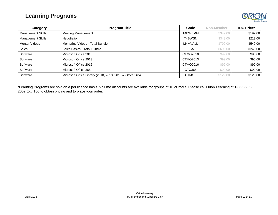#### **Learning Programs**



| Category                 | <b>Program Title</b>                                     | Code         | Non-Member | <b>IDC Price*</b> |
|--------------------------|----------------------------------------------------------|--------------|------------|-------------------|
| <b>Management Skills</b> | <b>Meeting Management</b>                                | T4BWSMM      | \$349.00   | \$199.00          |
| <b>Management Skills</b> | Negotiation                                              | T4BWSN       | \$349.00   | \$219.00          |
| <b>Mentor Videos</b>     | Mentoring Videos - Total Bundle                          | M4MVALL      | \$799.00   | \$549.00          |
| Sales                    | Sales Basics - Total Bundle                              | <b>BSA</b>   | \$699.00   | \$249.00          |
| Software                 | Microsoft Office 2010                                    | CTMO2010     | \$99.00    | \$90.00           |
| Software                 | Microsoft Office 2013                                    | CTMO2013     | \$99.00    | \$90.00           |
| Software                 | Microsoft Office 2016                                    | CTMO2016     | \$99.00    | \$90.00           |
| Software                 | Microsoft Office 365                                     | CTO365       | \$99.00    | \$90.00           |
| Software                 | Microsoft Office Library (2010, 2013, 2016 & Office 365) | <b>CTMOL</b> | \$129.00   | \$120.00          |

\*Learning Programs are sold on a per licence basis. Volume discounts are available for groups of 10 or more. Please call Orion Learning at 1-855-686- 2002 Ext. 100 to obtain pricing and to place your order.